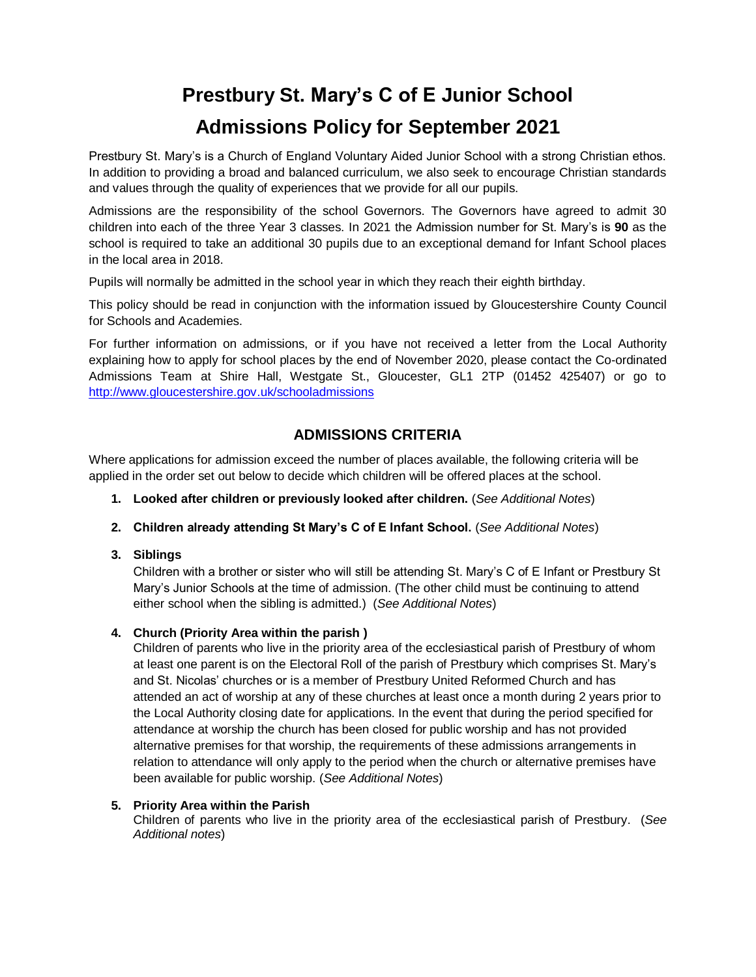# **Prestbury St. Mary's C of E Junior School Admissions Policy for September 2021**

Prestbury St. Mary's is a Church of England Voluntary Aided Junior School with a strong Christian ethos. In addition to providing a broad and balanced curriculum, we also seek to encourage Christian standards and values through the quality of experiences that we provide for all our pupils.

Admissions are the responsibility of the school Governors. The Governors have agreed to admit 30 children into each of the three Year 3 classes. In 2021 the Admission number for St. Mary's is **90** as the school is required to take an additional 30 pupils due to an exceptional demand for Infant School places in the local area in 2018.

Pupils will normally be admitted in the school year in which they reach their eighth birthday.

This policy should be read in conjunction with the information issued by Gloucestershire County Council for Schools and Academies.

For further information on admissions, or if you have not received a letter from the Local Authority explaining how to apply for school places by the end of November 2020, please contact the Co-ordinated Admissions Team at Shire Hall, Westgate St., Gloucester, GL1 2TP (01452 425407) or go to <http://www.gloucestershire.gov.uk/schooladmissions>

# **ADMISSIONS CRITERIA**

Where applications for admission exceed the number of places available, the following criteria will be applied in the order set out below to decide which children will be offered places at the school.

- **1. Looked after children or previously looked after children.** (*See Additional Notes*)
- **2. Children already attending St Mary's C of E Infant School.** (*See Additional Notes*)

### **3. Siblings**

Children with a brother or sister who will still be attending St. Mary's C of E Infant or Prestbury St Mary's Junior Schools at the time of admission. (The other child must be continuing to attend either school when the sibling is admitted.) (*See Additional Notes*)

### **4. Church (Priority Area within the parish )**

Children of parents who live in the priority area of the ecclesiastical parish of Prestbury of whom at least one parent is on the Electoral Roll of the parish of Prestbury which comprises St. Mary's and St. Nicolas' churches or is a member of Prestbury United Reformed Church and has attended an act of worship at any of these churches at least once a month during 2 years prior to the Local Authority closing date for applications. In the event that during the period specified for attendance at worship the church has been closed for public worship and has not provided alternative premises for that worship, the requirements of these admissions arrangements in relation to attendance will only apply to the period when the church or alternative premises have been available for public worship. (*See Additional Notes*)

### **5. Priority Area within the Parish**

Children of parents who live in the priority area of the ecclesiastical parish of Prestbury. (*See Additional notes*)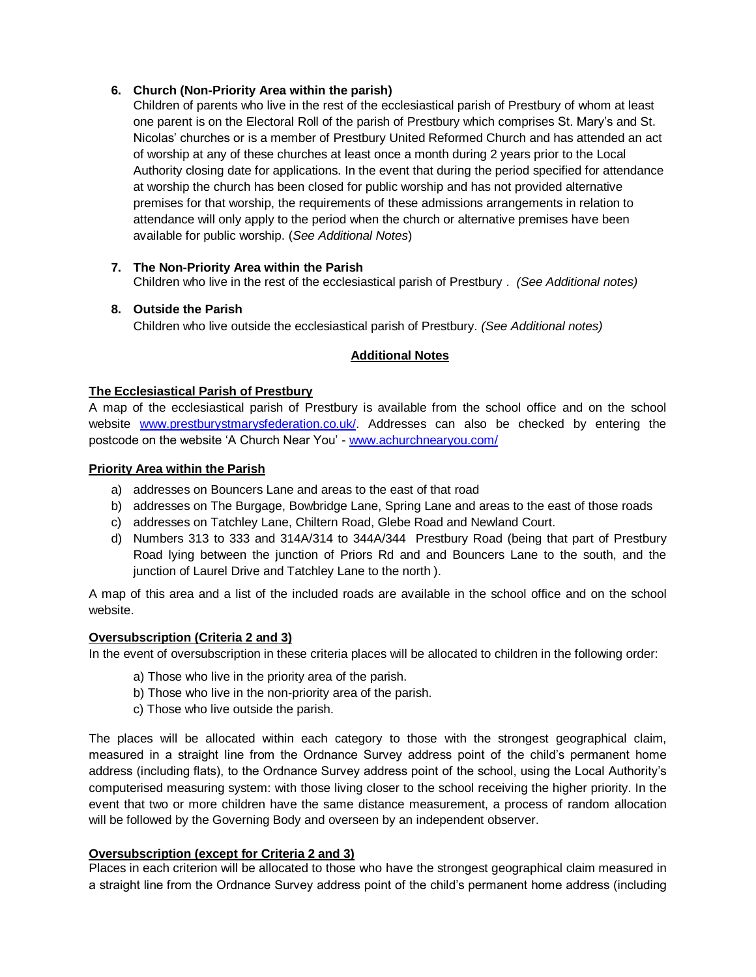# **6. Church (Non-Priority Area within the parish)**

Children of parents who live in the rest of the ecclesiastical parish of Prestbury of whom at least one parent is on the Electoral Roll of the parish of Prestbury which comprises St. Mary's and St. Nicolas' churches or is a member of Prestbury United Reformed Church and has attended an act of worship at any of these churches at least once a month during 2 years prior to the Local Authority closing date for applications. In the event that during the period specified for attendance at worship the church has been closed for public worship and has not provided alternative premises for that worship, the requirements of these admissions arrangements in relation to attendance will only apply to the period when the church or alternative premises have been available for public worship. (*See Additional Notes*)

# **7. The Non-Priority Area within the Parish**

Children who live in the rest of the ecclesiastical parish of Prestbury . *(See Additional notes)*

# **8. Outside the Parish**

Children who live outside the ecclesiastical parish of Prestbury. *(See Additional notes)*

# **Additional Notes**

# **The Ecclesiastical Parish of Prestbury**

A map of the ecclesiastical parish of Prestbury is available from the school office and on the school website [www.prestburystmarysfederation.co.uk/.](http://www.prestburystmarysfederation.co.uk/) Addresses can also be checked by entering the postcode on the website 'A Church Near You' - [www.achurchnearyou.com/](http://www.achurchnearyou.com/)

### **Priority Area within the Parish**

- a) addresses on Bouncers Lane and areas to the east of that road
- b) addresses on The Burgage, Bowbridge Lane, Spring Lane and areas to the east of those roads
- c) addresses on Tatchley Lane, Chiltern Road, Glebe Road and Newland Court.
- d) Numbers 313 to 333 and 314A/314 to 344A/344 Prestbury Road (being that part of Prestbury Road lying between the junction of Priors Rd and and Bouncers Lane to the south, and the junction of Laurel Drive and Tatchley Lane to the north ).

A map of this area and a list of the included roads are available in the school office and on the school website.

### **Oversubscription (Criteria 2 and 3)**

In the event of oversubscription in these criteria places will be allocated to children in the following order:

- a) Those who live in the priority area of the parish.
- b) Those who live in the non-priority area of the parish.
- c) Those who live outside the parish.

The places will be allocated within each category to those with the strongest geographical claim, measured in a straight line from the Ordnance Survey address point of the child's permanent home address (including flats), to the Ordnance Survey address point of the school, using the Local Authority's computerised measuring system: with those living closer to the school receiving the higher priority. In the event that two or more children have the same distance measurement, a process of random allocation will be followed by the Governing Body and overseen by an independent observer.

### **Oversubscription (except for Criteria 2 and 3)**

Places in each criterion will be allocated to those who have the strongest geographical claim measured in a straight line from the Ordnance Survey address point of the child's permanent home address (including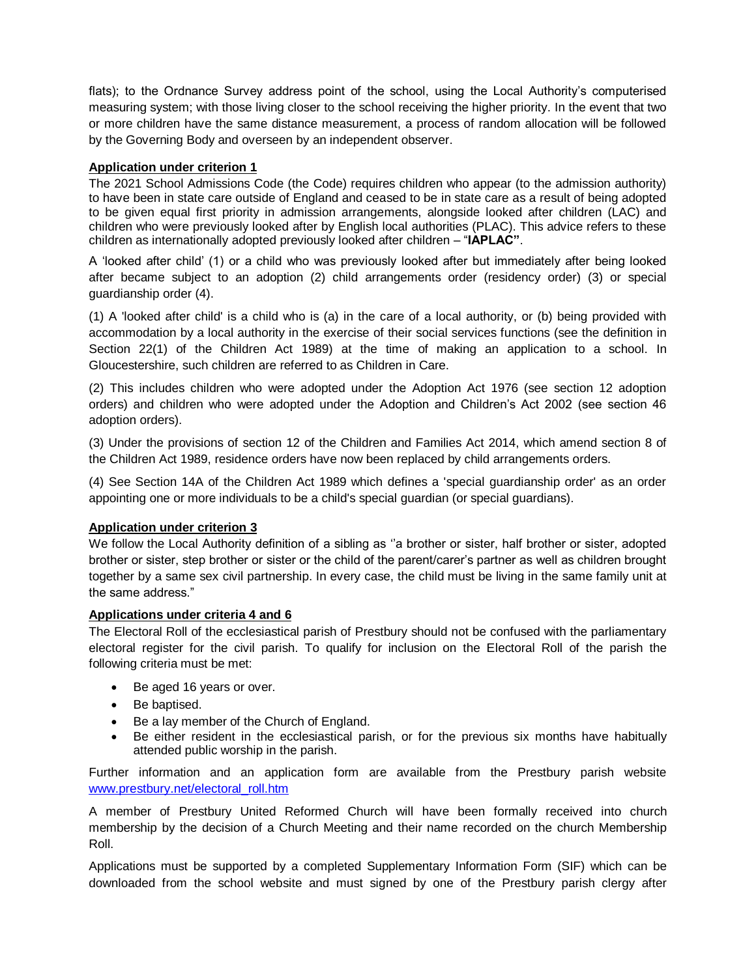flats); to the Ordnance Survey address point of the school, using the Local Authority's computerised measuring system; with those living closer to the school receiving the higher priority. In the event that two or more children have the same distance measurement, a process of random allocation will be followed by the Governing Body and overseen by an independent observer.

#### **Application under criterion 1**

The 2021 School Admissions Code (the Code) requires children who appear (to the admission authority) to have been in state care outside of England and ceased to be in state care as a result of being adopted to be given equal first priority in admission arrangements, alongside looked after children (LAC) and children who were previously looked after by English local authorities (PLAC). This advice refers to these children as internationally adopted previously looked after children – "**IAPLAC"**.

A 'looked after child' (1) or a child who was previously looked after but immediately after being looked after became subject to an adoption (2) child arrangements order (residency order) (3) or special guardianship order (4).

(1) A 'looked after child' is a child who is (a) in the care of a local authority, or (b) being provided with accommodation by a local authority in the exercise of their social services functions (see the definition in Section 22(1) of the Children Act 1989) at the time of making an application to a school. In Gloucestershire, such children are referred to as Children in Care.

(2) This includes children who were adopted under the Adoption Act 1976 (see section 12 adoption orders) and children who were adopted under the Adoption and Children's Act 2002 (see section 46 adoption orders).

(3) Under the provisions of section 12 of the Children and Families Act 2014, which amend section 8 of the Children Act 1989, residence orders have now been replaced by child arrangements orders.

(4) See Section 14A of the Children Act 1989 which defines a 'special guardianship order' as an order appointing one or more individuals to be a child's special guardian (or special guardians).

### **Application under criterion 3**

We follow the Local Authority definition of a sibling as ''a brother or sister, half brother or sister, adopted brother or sister, step brother or sister or the child of the parent/carer's partner as well as children brought together by a same sex civil partnership. In every case, the child must be living in the same family unit at the same address."

#### **Applications under criteria 4 and 6**

The Electoral Roll of the ecclesiastical parish of Prestbury should not be confused with the parliamentary electoral register for the civil parish. To qualify for inclusion on the Electoral Roll of the parish the following criteria must be met:

- Be aged 16 years or over.
- Be baptised.
- Be a lay member of the Church of England.
- Be either resident in the ecclesiastical parish, or for the previous six months have habitually attended public worship in the parish.

Further information and an application form are available from the Prestbury parish website [www.prestbury.net/electoral\\_roll.htm](http://www.prestbury.net/electoral_roll.htm)

A member of Prestbury United Reformed Church will have been formally received into church membership by the decision of a Church Meeting and their name recorded on the church Membership Roll.

Applications must be supported by a completed Supplementary Information Form (SIF) which can be downloaded from the school website and must signed by one of the Prestbury parish clergy after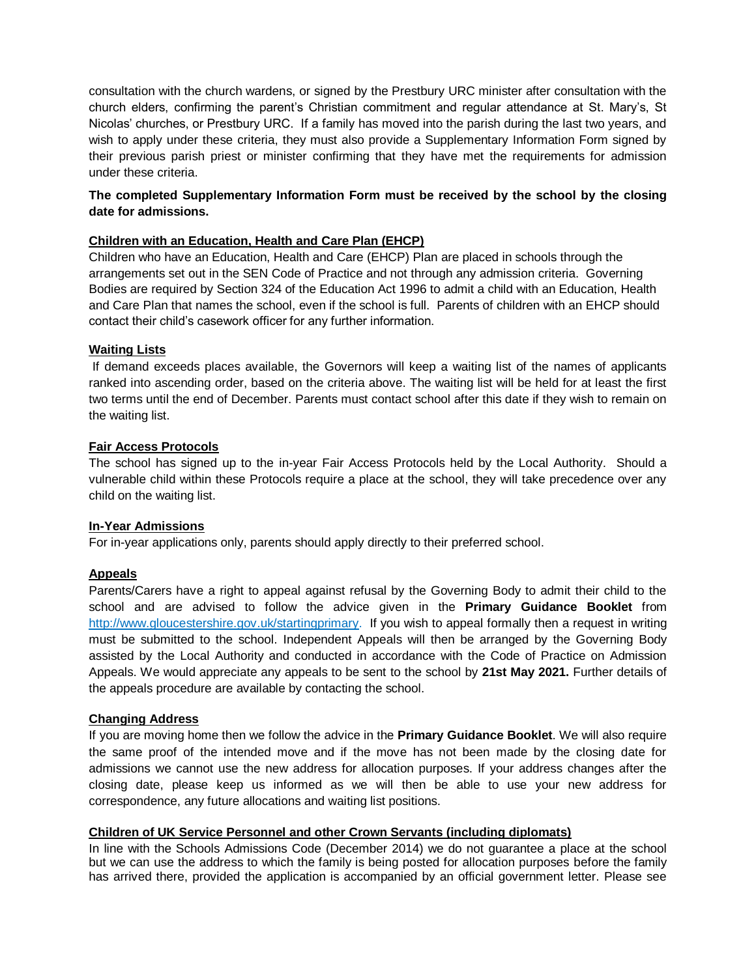consultation with the church wardens, or signed by the Prestbury URC minister after consultation with the church elders, confirming the parent's Christian commitment and regular attendance at St. Mary's, St Nicolas' churches, or Prestbury URC. If a family has moved into the parish during the last two years, and wish to apply under these criteria, they must also provide a Supplementary Information Form signed by their previous parish priest or minister confirming that they have met the requirements for admission under these criteria.

# **The completed Supplementary Information Form must be received by the school by the closing date for admissions.**

#### **Children with an Education, Health and Care Plan (EHCP)**

Children who have an Education, Health and Care (EHCP) Plan are placed in schools through the arrangements set out in the SEN Code of Practice and not through any admission criteria. Governing Bodies are required by Section 324 of the Education Act 1996 to admit a child with an Education, Health and Care Plan that names the school, even if the school is full. Parents of children with an EHCP should contact their child's casework officer for any further information.

#### **Waiting Lists**

If demand exceeds places available, the Governors will keep a waiting list of the names of applicants ranked into ascending order, based on the criteria above. The waiting list will be held for at least the first two terms until the end of December. Parents must contact school after this date if they wish to remain on the waiting list.

#### **Fair Access Protocols**

The school has signed up to the in-year Fair Access Protocols held by the Local Authority. Should a vulnerable child within these Protocols require a place at the school, they will take precedence over any child on the waiting list.

#### **In-Year Admissions**

For in-year applications only, parents should apply directly to their preferred school.

### **Appeals**

Parents/Carers have a right to appeal against refusal by the Governing Body to admit their child to the school and are advised to follow the advice given in the **Primary Guidance Booklet** from [http://www.gloucestershire.gov.uk/startingprimary.](http://www.gloucestershire.gov.uk/startingprimary) If you wish to appeal formally then a request in writing must be submitted to the school. Independent Appeals will then be arranged by the Governing Body assisted by the Local Authority and conducted in accordance with the Code of Practice on Admission Appeals. We would appreciate any appeals to be sent to the school by **21st May 2021.** Further details of the appeals procedure are available by contacting the school.

#### **Changing Address**

If you are moving home then we follow the advice in the **Primary Guidance Booklet**. We will also require the same proof of the intended move and if the move has not been made by the closing date for admissions we cannot use the new address for allocation purposes. If your address changes after the closing date, please keep us informed as we will then be able to use your new address for correspondence, any future allocations and waiting list positions.

#### **Children of UK Service Personnel and other Crown Servants (including diplomats)**

In line with the Schools Admissions Code (December 2014) we do not guarantee a place at the school but we can use the address to which the family is being posted for allocation purposes before the family has arrived there, provided the application is accompanied by an official government letter. Please see